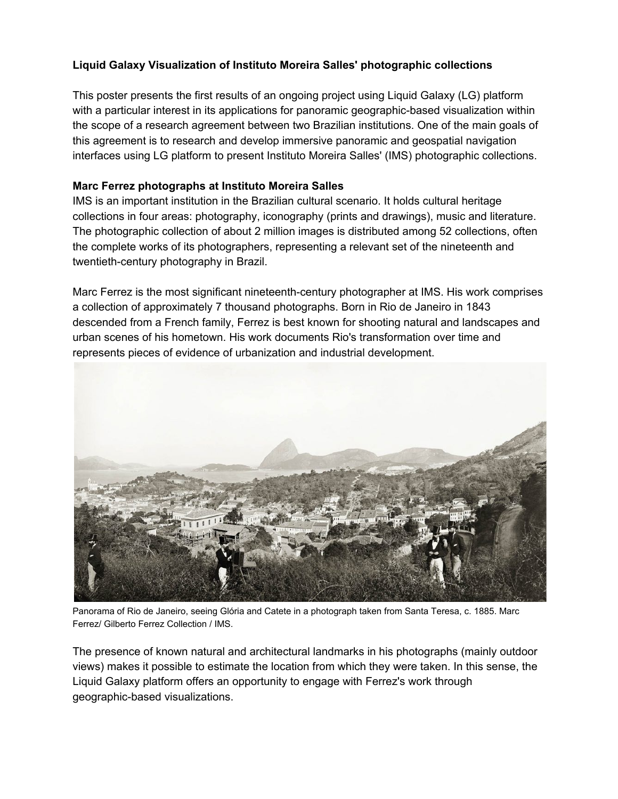# **Liquid Galaxy Visualization of Instituto Moreira Salles' photographic collections**

This poster presents the first results of an ongoing project using Liquid Galaxy (LG) platform with a particular interest in its applications for panoramic geographic-based visualization within the scope of a research agreement between two Brazilian institutions. One of the main goals of this agreement is to research and develop immersive panoramic and geospatial navigation interfaces using LG platform to present Instituto Moreira Salles' (IMS) photographic collections.

#### **Marc Ferrez photographs at Instituto Moreira Salles**

IMS is an important institution in the Brazilian cultural scenario. It holds cultural heritage collections in four areas: photography, iconography (prints and drawings), music and literature. The photographic collection of about 2 million images is distributed among 52 collections, often the complete works of its photographers, representing a relevant set of the nineteenth and twentieth-century photography in Brazil.

Marc Ferrez is the most significant nineteenth-century photographer at IMS. His work comprises a collection of approximately 7 thousand photographs. Born in Rio de Janeiro in 1843 descended from a French family, Ferrez is best known for shooting natural and landscapes and urban scenes of his hometown. His work documents Rio's transformation over time and represents pieces of evidence of urbanization and industrial development.



Panorama of Rio de Janeiro, seeing Glória and Catete in a photograph taken from Santa Teresa, c. 1885. Marc Ferrez/ Gilberto Ferrez Collection / IMS.

The presence of known natural and architectural landmarks in his photographs (mainly outdoor views) makes it possible to estimate the location from which they were taken. In this sense, the Liquid Galaxy platform offers an opportunity to engage with Ferrez's work through geographic-based visualizations.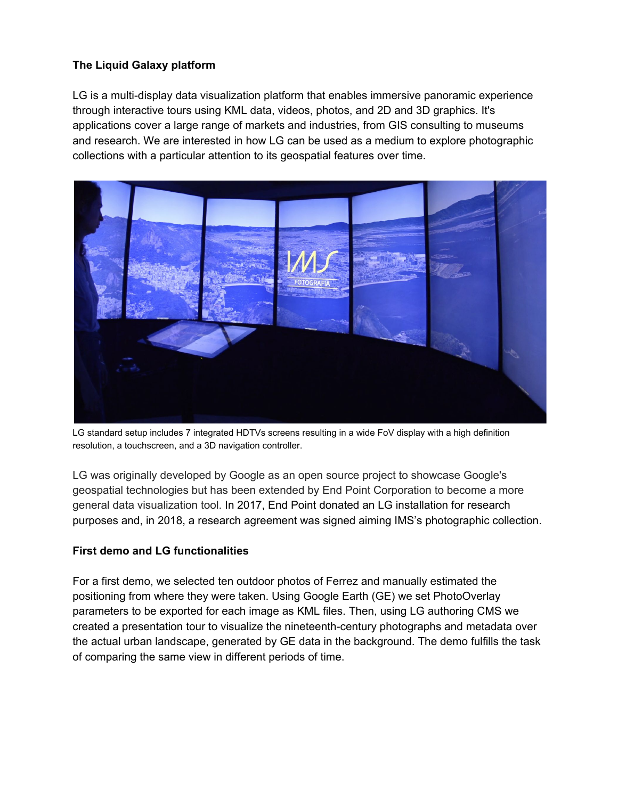# **The Liquid Galaxy platform**

LG is a multi-display data visualization platform that enables immersive panoramic experience through interactive tours using KML data, videos, photos, and 2D and 3D graphics. It's applications cover a large range of markets and industries, from GIS consulting to museums and research. We are interested in how LG can be used as a medium to explore photographic collections with a particular attention to its geospatial features over time.



LG standard setup includes 7 integrated HDTVs screens resulting in a wide FoV display with a high definition resolution, a touchscreen, and a 3D navigation controller.

LG was originally developed by Google as an open source project to showcase Google's geospatial technologies but has been extended by End Point Corporation to become a more general data visualization tool. In 2017, End Point donated an LG installation for research purposes and, in 2018, a research agreement was signed aiming IMS's photographic collection.

## **First demo and LG functionalities**

For a first demo, we selected ten outdoor photos of Ferrez and manually estimated the positioning from where they were taken. Using Google Earth (GE) we set PhotoOverlay parameters to be exported for each image as KML files. Then, using LG authoring CMS we created a presentation tour to visualize the nineteenth-century photographs and metadata over the actual urban landscape, generated by GE data in the background. The demo fulfills the task of comparing the same view in different periods of time.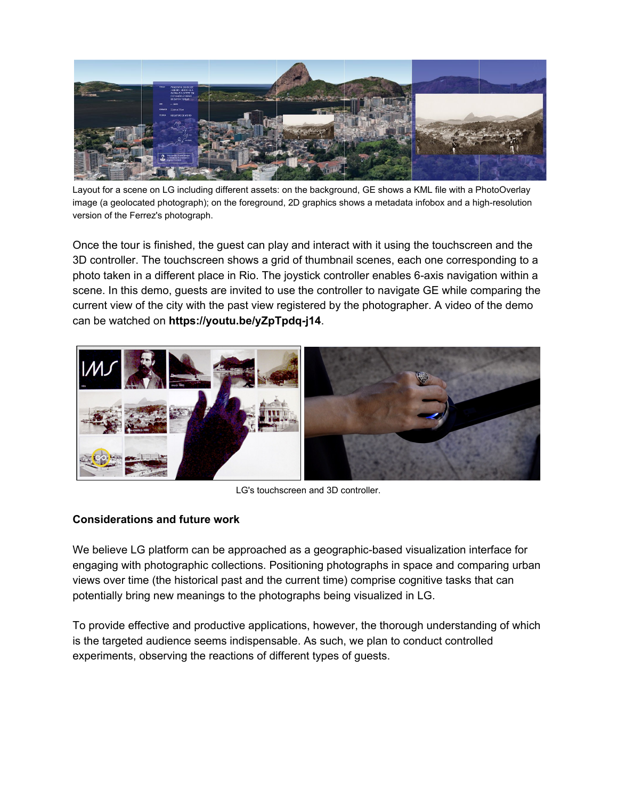

Layout for a scene on LG including different assets: on the background, GE shows a KML file with a PhotoOverlay image (a geolocated photograph); on the foreground, 2D graphics shows a metadata infobox and a high-resolution version of the Ferrez's photograph.

Once the tour is finished, the guest can play and interact with it using the touchscreen and the 3D controller. The touchscreen shows a grid of thumbnail scenes, each one corresponding to a photo taken in a different place in Rio. The joystick controller enables 6-axis navigation within a scene. In this demo, guests are invited to use the controller to navigate GE while comparing the current view of the city with the past view registered by the photographer. A video of the demo can be watched on **https://youtu.be/yZpTpdq-j14**.



LG's touchscreen and 3D controller.

## **Considerations and future work**

We believe LG platform can be approached as a geographic-based visualization interface for engaging with photographic collections. Positioning photographs in space and comparing urban views over time (the historical past and the current time) comprise cognitive tasks that can potentially bring new meanings to the photographs being visualized in LG.

To provide effective and productive applications, however, the thorough understanding of which is the targeted audience seems indispensable. As such, we plan to conduct controlled experiments, observing the reactions of different types of guests.